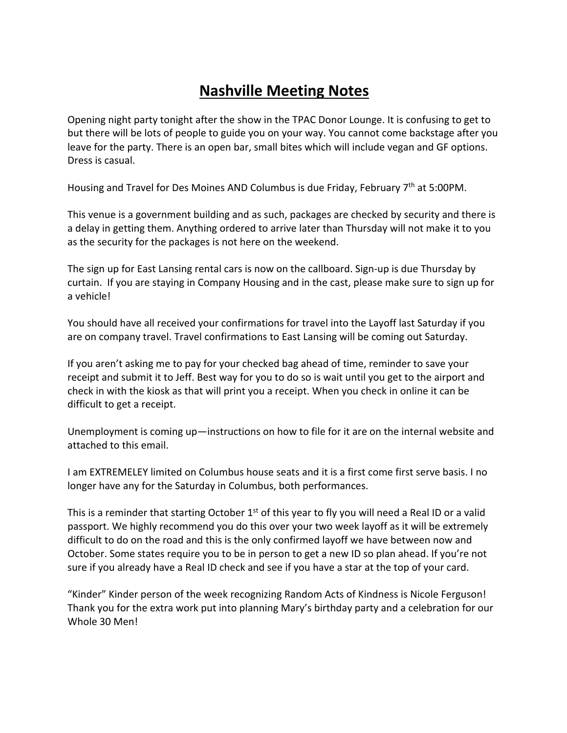## **Nashville Meeting Notes**

Opening night party tonight after the show in the TPAC Donor Lounge. It is confusing to get to but there will be lots of people to guide you on your way. You cannot come backstage after you leave for the party. There is an open bar, small bites which will include vegan and GF options. Dress is casual.

Housing and Travel for Des Moines AND Columbus is due Friday, February 7<sup>th</sup> at 5:00PM.

This venue is a government building and as such, packages are checked by security and there is a delay in getting them. Anything ordered to arrive later than Thursday will not make it to you as the security for the packages is not here on the weekend.

The sign up for East Lansing rental cars is now on the callboard. Sign-up is due Thursday by curtain. If you are staying in Company Housing and in the cast, please make sure to sign up for a vehicle!

You should have all received your confirmations for travel into the Layoff last Saturday if you are on company travel. Travel confirmations to East Lansing will be coming out Saturday.

If you aren't asking me to pay for your checked bag ahead of time, reminder to save your receipt and submit it to Jeff. Best way for you to do so is wait until you get to the airport and check in with the kiosk as that will print you a receipt. When you check in online it can be difficult to get a receipt.

Unemployment is coming up—instructions on how to file for it are on the internal website and attached to this email.

I am EXTREMELEY limited on Columbus house seats and it is a first come first serve basis. I no longer have any for the Saturday in Columbus, both performances.

This is a reminder that starting October  $1<sup>st</sup>$  of this year to fly you will need a Real ID or a valid passport. We highly recommend you do this over your two week layoff as it will be extremely difficult to do on the road and this is the only confirmed layoff we have between now and October. Some states require you to be in person to get a new ID so plan ahead. If you're not sure if you already have a Real ID check and see if you have a star at the top of your card.

"Kinder" Kinder person of the week recognizing Random Acts of Kindness is Nicole Ferguson! Thank you for the extra work put into planning Mary's birthday party and a celebration for our Whole 30 Men!